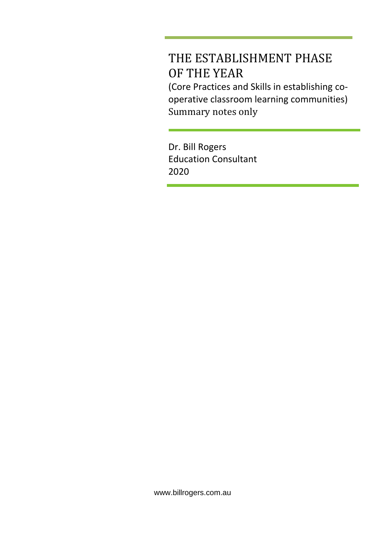# THE ESTABLISHMENT PHASE OF THE YEAR

(Core Practices and Skills in establishing cooperative classroom learning communities) Summary notes only

Dr. Bill Rogers Education Consultant 2020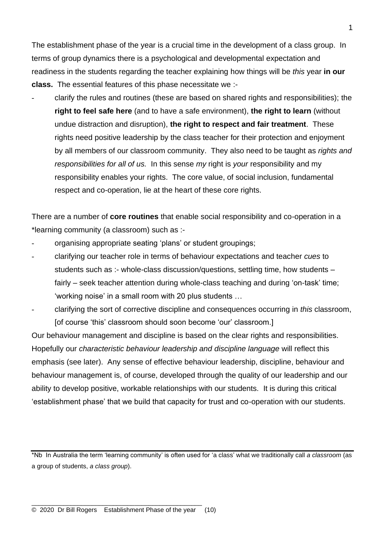The establishment phase of the year is a crucial time in the development of a class group. In terms of group dynamics there is a psychological and developmental expectation and readiness in the students regarding the teacher explaining how things will be *this* year **in our class.** The essential features of this phase necessitate we :-

- clarify the rules and routines (these are based on shared rights and responsibilities); the **right to feel safe here** (and to have a safe environment), **the right to learn** (without undue distraction and disruption), **the right to respect and fair treatment**. These rights need positive leadership by the class teacher for their protection and enjoyment by all members of our classroom community. They also need to be taught as *rights and responsibilities for all of us.* In this sense *my* right is *your* responsibility and my responsibility enables your rights. The core value, of social inclusion, fundamental respect and co-operation, lie at the heart of these core rights.

There are a number of **core routines** that enable social responsibility and co-operation in a \*learning community (a classroom) such as :-

- organising appropriate seating 'plans' or student groupings;
- clarifying our teacher role in terms of behaviour expectations and teacher *cues* to students such as :- whole-class discussion/questions, settling time, how students – fairly – seek teacher attention during whole-class teaching and during 'on-task' time; 'working noise' in a small room with 20 plus students …
- clarifying the sort of corrective discipline and consequences occurring in *this* classroom, [of course 'this' classroom should soon become 'our' classroom.]

Our behaviour management and discipline is based on the clear rights and responsibilities. Hopefully our *characteristic behaviour leadership and discipline language* will reflect this emphasis (see later). Any sense of effective behaviour leadership, discipline, behaviour and behaviour management is, of course, developed through the quality of our leadership and our ability to develop positive, workable relationships with our students. It is during this critical 'establishment phase' that we build that capacity for trust and co-operation with our students.

\*Nb In Australia the term 'learning community' is often used for 'a class' what we traditionally call *a classroom* (as a group of students, *a class group*).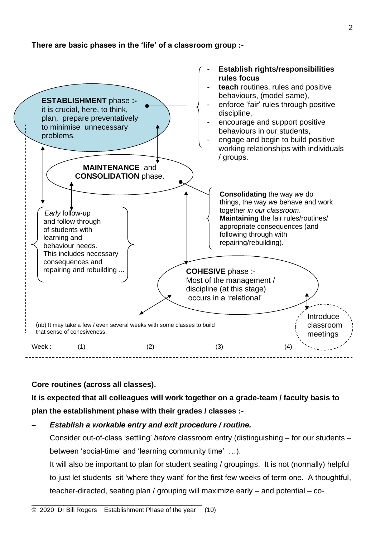### **There are basic phases in the 'life' of a classroom group :-**



### **Core routines (across all classes).**

**It is expected that all colleagues will work together on a grade-team / faculty basis to plan the establishment phase with their grades / classes :-**

### − *Establish a workable entry and exit procedure / routine.*

Consider out-of-class 'settling' *before* classroom entry (distinguishing – for our students – between 'social-time' and 'learning community time' …).

It will also be important to plan for student seating / groupings. It is not (normally) helpful to just let students sit 'where they want' for the first few weeks of term one. A thoughtful, teacher-directed, seating plan / grouping will maximize early – and potential – co-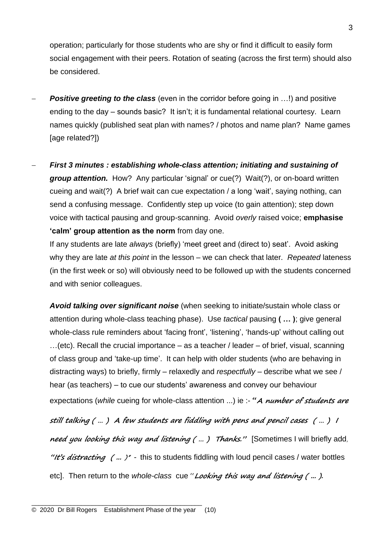operation; particularly for those students who are shy or find it difficult to easily form social engagement with their peers. Rotation of seating (across the first term) should also be considered.

- **Positive greeting to the class** (even in the corridor before going in …!) and positive ending to the day – sounds basic? It isn't; it is fundamental relational courtesy. Learn names quickly (published seat plan with names? / photos and name plan? Name games [age related?])
- − *First 3 minutes : establishing whole-class attention; initiating and sustaining of group attention.* How? Any particular 'signal' or cue(?) Wait(?), or on-board written cueing and wait(?) A brief wait can cue expectation / a long 'wait', saying nothing, can send a confusing message. Confidently step up voice (to gain attention); step down voice with tactical pausing and group-scanning. Avoid *overly* raised voice; **emphasise 'calm' group attention as the norm** from day one.

If any students are late *always* (briefly) 'meet greet and (direct to) seat'. Avoid asking why they are late *at this point* in the lesson – we can check that later. *Repeated* lateness (in the first week or so) will obviously need to be followed up with the students concerned and with senior colleagues.

*Avoid talking over significant noise* (when seeking to initiate/sustain whole class or attention during whole-class teaching phase). Use *tactical* pausing **( … )**; give general whole-class rule reminders about 'facing front', 'listening', 'hands-up' without calling out …(etc). Recall the crucial importance – as a teacher / leader – of brief, visual, scanning of class group and 'take-up time'. It can help with older students (who are behaving in distracting ways) to briefly, firmly – relaxedly and *respectfully* – describe what we see / hear (as teachers) – to cue our students' awareness and convey our behaviour expectations (*while* cueing for whole-class attention ...) ie :- **"A number of students are still talking ( … ) A few students are fiddling with pens and pencil cases ( … )<sup>I</sup> need you looking this way and listening ( … ) Thanks."** [Sometimes I will briefly add, **"It's distracting ( ...** )" -this to students fiddling with loud pencil cases / water bottles etc]. Then return to the *whole-class* cue "**Looking this way and listening ( ... ).**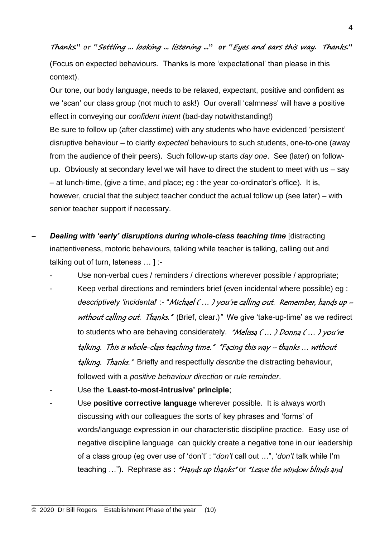**Thanks."** or **"Settling ... looking ... listening ..." or "Eyes and ears this way. Thanks."** 

(Focus on expected behaviours. Thanks is more 'expectational' than please in this context).

Our tone, our body language, needs to be relaxed, expectant, positive and confident as we 'scan' our class group (not much to ask!) Our overall 'calmness' will have a positive effect in conveying our *confident intent* (bad-day notwithstanding!)

Be sure to follow up (after classtime) with any students who have evidenced 'persistent' disruptive behaviour – to clarify *expected* behaviours to such students, one-to-one (away from the audience of their peers). Such follow-up starts *day one*. See (later) on followup. Obviously at secondary level we will have to direct the student to meet with us – say – at lunch-time, (give a time, and place; eg : the year co-ordinator's office). It is, however, crucial that the subject teacher conduct the actual follow up (see later) – with senior teacher support if necessary.

- − *Dealing with 'early' disruptions during whole-class teaching time* [distracting inattentiveness, motoric behaviours, talking while teacher is talking, calling out and talking out of turn, lateness … ] :-
	- Use non-verbal cues / reminders / directions wherever possible / appropriate;
	- Keep verbal directions and reminders brief (even incidental where possible) eg : *descriptively 'incidental*' :- "Michael ( … ) you're calling out. Remember, hands up – without calling out. Thanks." (Brief, clear.)" We give 'take-up-time' as we redirect to students who are behaving considerately. "Melissa (...) Donna (...) you're talking. This is whole-class teaching time." "Facing this way – thanks … without talking. Thanks." Briefly and respectfully *describe* the distracting behaviour, followed with a *positive behaviour direction* or *rule reminder*.
	- Use the '**Least-to-most-intrusive' principle**;
	- Use **positive corrective language** wherever possible. It is always worth discussing with our colleagues the sorts of key phrases and 'forms' of words/language expression in our characteristic discipline practice. Easy use of negative discipline language can quickly create a negative tone in our leadership of a class group (eg over use of 'don't' : "*don't* call out …", '*don't* talk while I'm teaching ..."). Rephrase as : "Hands up thanks" or "Leave the window blinds and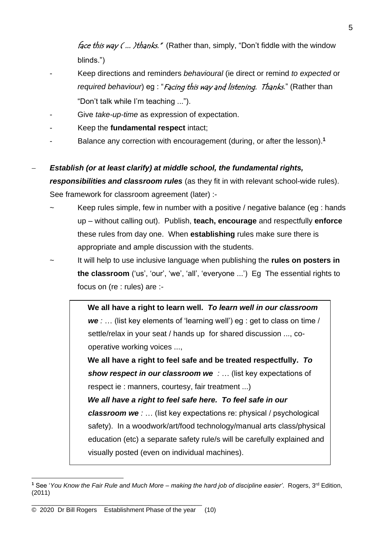*face this way (... )thanks.*" (Rather than, simply, "Don't fiddle with the window blinds.")

- Keep directions and reminders *behavioural* (ie direct or remind *to expected* or *required behaviour*) eg : "Facing this way and listening. Thanks." (Rather than "Don't talk while I'm teaching ...").
- Give *take-up-time* as expression of expectation.
- Keep the **fundamental respect** intact;
- Balance any correction with encouragement (during, or after the lesson).**<sup>1</sup>**

− *Establish (or at least clarify) at middle school, the fundamental rights, responsibilities and classroom rules* (as they fit in with relevant school-wide rules). See framework for classroom agreement (later) :-

- Keep rules simple, few in number with a positive / negative balance (eg : hands up – without calling out). Publish, **teach, encourage** and respectfully **enforce** these rules from day one. When **establishing** rules make sure there is appropriate and ample discussion with the students.
- It will help to use inclusive language when publishing the **rules on posters in the classroom** ('us', 'our', 'we', 'all', 'everyone ...') Eg The essential rights to focus on (re : rules) are :-

**We all have a right to learn well.** *To learn well in our classroom we :* … (list key elements of 'learning well') eg : get to class on time / settle/relax in your seat / hands up for shared discussion ..., cooperative working voices ...,

**We all have a right to feel safe and be treated respectfully.** *To show respect in our classroom we :* … (list key expectations of respect ie : manners, courtesy, fair treatment ...)

*We all have a right to feel safe here. To feel safe in our classroom we :* … (list key expectations re: physical / psychological safety). In a woodwork/art/food technology/manual arts class/physical education (etc) a separate safety rule/s will be carefully explained and visually posted (even on individual machines).

**<sup>1</sup>** See '*You Know the Fair Rule and Much More – making the hard job of discipline easier'*. Rogers, 3rd Edition, (2011)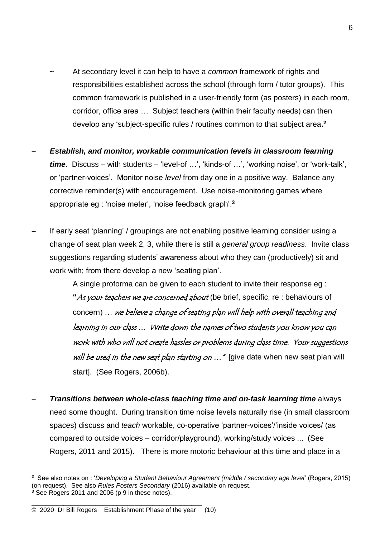- At secondary level it can help to have a *common* framework of rights and responsibilities established across the school (through form / tutor groups). This common framework is published in a user-friendly form (as posters) in each room, corridor, office area … Subject teachers (within their faculty needs) can then develop any 'subject-specific rules / routines common to that subject area**. 2**
- − *Establish, and monitor, workable communication levels in classroom learning time*. Discuss – with students – 'level-of …', 'kinds-of …', 'working noise', or 'work-talk', or 'partner-voices'. Monitor noise *level* from day one in a positive way. Balance any corrective reminder(s) with encouragement. Use noise-monitoring games where appropriate eg : 'noise meter', 'noise feedback graph'. **3**
- If early seat 'planning' / groupings are not enabling positive learning consider using a change of seat plan week 2, 3, while there is still a *general group readiness*. Invite class suggestions regarding students' awareness about who they can (productively) sit and work with; from there develop a new 'seating plan'.

A single proforma can be given to each student to invite their response eg : **"**As your teachers we are concerned about (be brief, specific, re : behaviours of concern) … we believe a change of seating plan will help with overall teaching and learning in our class … Write down the names of two students you know you can work with who will not create hassles or problems during class time. Your suggestions will be used in the new seat plan starting on  $\ldots$  " [give date when new seat plan will start]. (See Rogers, 2006b).

− *Transitions between whole-class teaching time and on-task learning time* always need some thought. During transition time noise levels naturally rise (in small classroom spaces) discuss and *teach* workable, co-operative 'partner-voices'/'inside voices/ (as compared to outside voices – corridor/playground), working/study voices ... (See Rogers, 2011 and 2015). There is more motoric behaviour at this time and place in a

**<sup>2</sup>** See also notes on : '*Developing a Student Behaviour Agreement (middle / secondary age level*' (Rogers, 2015) (on request). See also *Rules Posters Secondary* (2016) available on request. **<sup>3</sup>** See Rogers 2011 and 2006 (p 9 in these notes).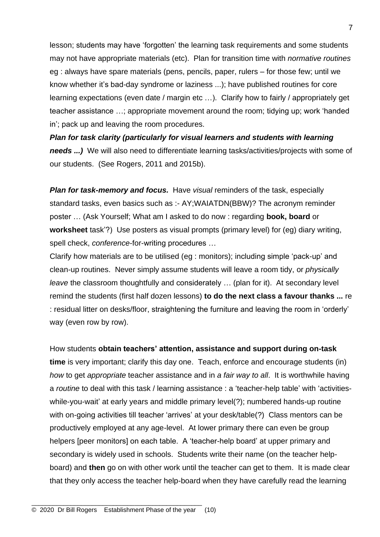lesson; students may have 'forgotten' the learning task requirements and some students may not have appropriate materials (etc). Plan for transition time with *normative routines* eg : always have spare materials (pens, pencils, paper, rulers – for those few; until we know whether it's bad-day syndrome or laziness ...); have published routines for core learning expectations (even date / margin etc …). Clarify how to fairly / appropriately get teacher assistance …; appropriate movement around the room; tidying up; work 'handed in'; pack up and leaving the room procedures.

*Plan for task clarity (particularly for visual learners and students with learning needs ...)* We will also need to differentiate learning tasks/activities/projects with some of our students. (See Rogers, 2011 and 2015b).

*Plan for task-memory and focus.* Have *visual* reminders of the task, especially standard tasks, even basics such as :- AY;WAIATDN(BBW)? The acronym reminder poster … (Ask Yourself; What am I asked to do now : regarding **book, board** or **worksheet** task'?) Use posters as visual prompts (primary level) for (eg) diary writing, spell check, *conference*-for-writing procedures …

Clarify how materials are to be utilised (eg : monitors); including simple 'pack-up' and clean-up routines. Never simply assume students will leave a room tidy, or *physically leave* the classroom thoughtfully and considerately … (plan for it). At secondary level remind the students (first half dozen lessons) **to do the next class a favour thanks ...** re : residual litter on desks/floor, straightening the furniture and leaving the room in 'orderly' way (even row by row).

How students **obtain teachers' attention, assistance and support during on-task time** is very important; clarify this day one. Teach, enforce and encourage students (in) *how* to get *appropriate* teacher assistance and in *a fair way to all*. It is worthwhile having a *routine* to deal with this task / learning assistance : a 'teacher-help table' with 'activitieswhile-you-wait' at early years and middle primary level(?); numbered hands-up routine with on-going activities till teacher 'arrives' at your desk/table(?) Class mentors can be productively employed at any age-level. At lower primary there can even be group helpers [peer monitors] on each table. A 'teacher-help board' at upper primary and secondary is widely used in schools. Students write their name (on the teacher helpboard) and **then** go on with other work until the teacher can get to them. It is made clear that they only access the teacher help-board when they have carefully read the learning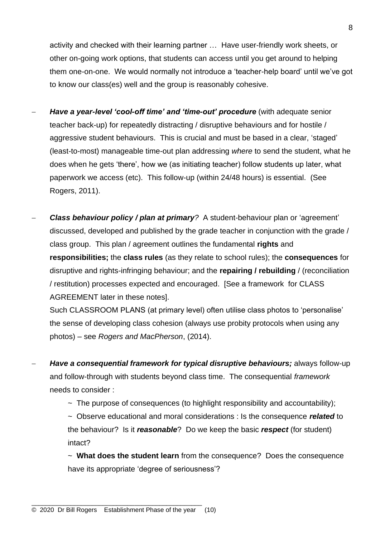activity and checked with their learning partner … Have user-friendly work sheets, or other on-going work options, that students can access until you get around to helping them one-on-one. We would normally not introduce a 'teacher-help board' until we've got to know our class(es) well and the group is reasonably cohesive.

- **Have a year-level 'cool-off time' and 'time-out' procedure** (with adequate senior teacher back-up) for repeatedly distracting / disruptive behaviours and for hostile / aggressive student behaviours. This is crucial and must be based in a clear, 'staged' (least-to-most) manageable time-out plan addressing *where* to send the student, what he does when he gets 'there', how we (as initiating teacher) follow students up later, what paperwork we access (etc). This follow-up (within 24/48 hours) is essential. (See Rogers, 2011).
- − *Class behaviour policy / plan at primary?* A student-behaviour plan or 'agreement' discussed, developed and published by the grade teacher in conjunction with the grade / class group. This plan / agreement outlines the fundamental **rights** and **responsibilities;** the **class rules** (as they relate to school rules); the **consequences** for disruptive and rights-infringing behaviour; and the **repairing / rebuilding** / (reconciliation / restitution) processes expected and encouraged. [See a framework for CLASS AGREEMENT later in these notes].

Such CLASSROOM PLANS (at primary level) often utilise class photos to 'personalise' the sense of developing class cohesion (always use probity protocols when using any photos) – see *Rogers and MacPherson*, (2014).

- − *Have a consequential framework for typical disruptive behaviours;* always follow-up and follow-through with students beyond class time. The consequential *framework* needs to consider :
	- $\sim$  The purpose of consequences (to highlight responsibility and accountability);
	- ~ Observe educational and moral considerations : Is the consequence *related* to the behaviour? Is it *reasonable*? Do we keep the basic *respect* (for student) intact?

~ **What does the student learn** from the consequence? Does the consequence have its appropriate 'degree of seriousness'?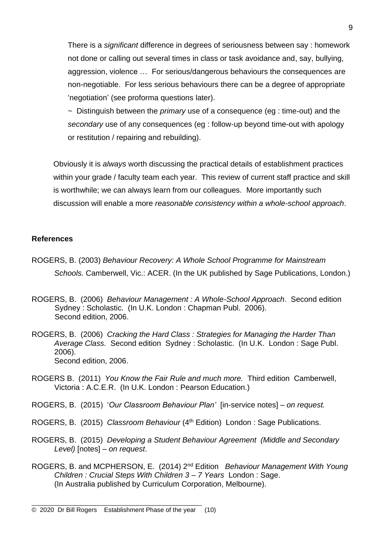There is a *significant* difference in degrees of seriousness between say : homework not done or calling out several times in class or task avoidance and, say, bullying, aggression, violence … For serious/dangerous behaviours the consequences are non-negotiable. For less serious behaviours there can be a degree of appropriate 'negotiation' (see proforma questions later).

~ Distinguish between the *primary* use of a consequence (eg : time-out) and the *secondary* use of any consequences (eg : follow-up beyond time-out with apology or restitution / repairing and rebuilding).

Obviously it is *always* worth discussing the practical details of establishment practices within your grade / faculty team each year. This review of current staff practice and skill is worthwhile; we can always learn from our colleagues. More importantly such discussion will enable a more *reasonable consistency within a whole-school approach*.

### **References**

- ROGERS, B. (2003) *Behaviour Recovery: A Whole School Programme for Mainstream Schools.* Camberwell, Vic.: ACER. (In the UK published by Sage Publications, London.)
- ROGERS, B. (2006) *Behaviour Management : A Whole-School Approach*. Second edition Sydney : Scholastic. (In U.K. London : Chapman Publ. 2006). Second edition, 2006.
- ROGERS, B. (2006) *Cracking the Hard Class : Strategies for Managing the Harder Than Average Class.* Second edition Sydney : Scholastic. (In U.K. London : Sage Publ. 2006). Second edition, 2006.
- ROGERS B. (2011) *You Know the Fair Rule and much more.* Third edition Camberwell, Victoria : A.C.E.R. (In U.K. London : Pearson Education.)
- ROGERS, B. (2015) '*Our Classroom Behaviour Plan'* [in-service notes] *on request.*
- ROGERS, B. (2015) *Classroom Behaviour* (4th Edition) London : Sage Publications.
- ROGERS, B. (2015) *Developing a Student Behaviour Agreement (Middle and Secondary Level)* [notes] – *on request*.
- ROGERS, B. and MCPHERSON, E. (2014) 2<sup>nd</sup> Edition *Behaviour Management With Young Children : Crucial Steps With Children 3 – 7 Years* London : Sage. (In Australia published by Curriculum Corporation, Melbourne).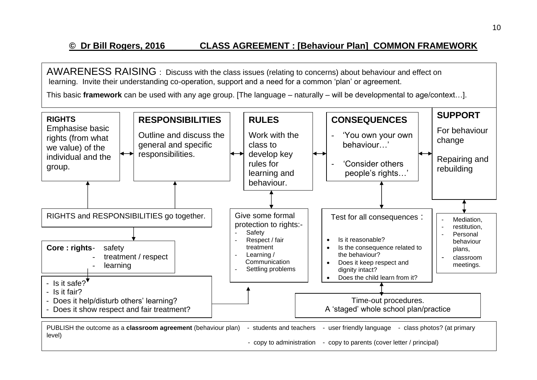# **© Dr Bill Rogers, 2016 CLASS AGREEMENT : [Behaviour Plan] COMMON FRAMEWORK**

AWARENESS RAISING : Discuss with the class issues (relating to concerns) about behaviour and effect on learning. Invite their understanding co-operation, support and a need for a common 'plan' or agreement.

This basic **framework** can be used with any age group. [The language – naturally – will be developmental to age/context…].

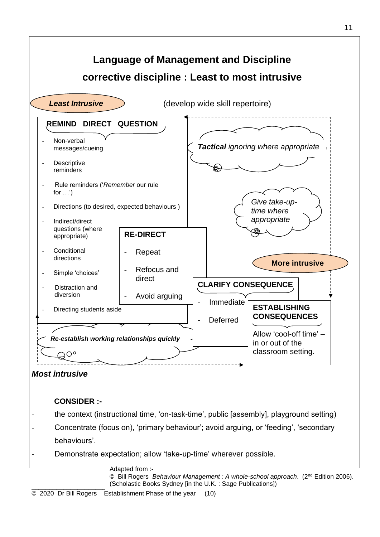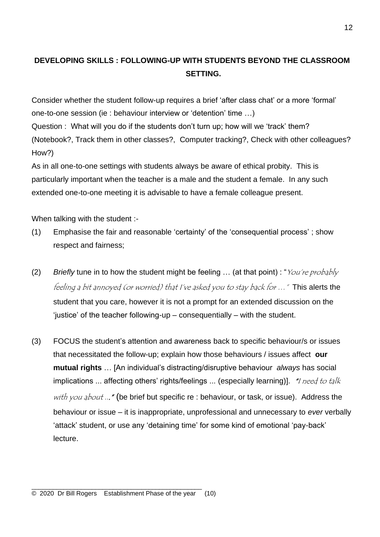### **DEVELOPING SKILLS : FOLLOWING-UP WITH STUDENTS BEYOND THE CLASSROOM SETTING.**

Consider whether the student follow-up requires a brief 'after class chat' or a more 'formal' one-to-one session (ie : behaviour interview or 'detention' time …)

Question : What will you do if the students don't turn up; how will we 'track' them? (Notebook?, Track them in other classes?, Computer tracking?, Check with other colleagues? How?)

As in all one-to-one settings with students always be aware of ethical probity. This is particularly important when the teacher is a male and the student a female. In any such extended one-to-one meeting it is advisable to have a female colleague present.

When talking with the student :-

- (1) Emphasise the fair and reasonable 'certainty' of the 'consequential process' ; show respect and fairness;
- (2) *Briefly* tune in to how the student might be feeling … (at that point) : "You're probably feeling a bit annoyed (or worried) that I've asked you to stay back for …" This alerts the student that you care, however it is not a prompt for an extended discussion on the 'justice' of the teacher following-up – consequentially – with the student.
- (3) FOCUS the student's attention and awareness back to specific behaviour/s or issues that necessitated the follow-up; explain how those behaviours / issues affect **our mutual rights** … [An individual's distracting/disruptive behaviour *always* has social implications ... affecting others' rights/feelings ... (especially learning)]. "I need to talk with you about ..." (be brief but specific re : behaviour, or task, or issue). Address the behaviour or issue – it is inappropriate, unprofessional and unnecessary to *ever* verbally 'attack' student, or use any 'detaining time' for some kind of emotional 'pay-back' lecture.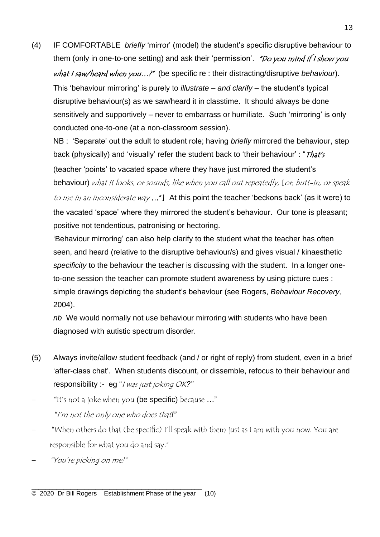(4) IF COMFORTABLE *briefly* 'mirror' (model) the student's specific disruptive behaviour to them (only in one-to-one setting) and ask their 'permission'. "Do you mind if I show you what I saw/heard when you...?" (be specific re : their distracting/disruptive *behaviour*). This 'behaviour mirroring' is purely to *illustrate – and clarify –* the student's typical disruptive behaviour(s) as we saw/heard it in classtime. It should always be done sensitively and supportively – never to embarrass or humiliate. Such 'mirroring' is only conducted one-to-one (at a non-classroom session).

NB : 'Separate' out the adult to student role; having *briefly* mirrored the behaviour, step back (physically) and 'visually' refer the student back to 'their behaviour' : " $That's$ (teacher 'points' to vacated space where they have just mirrored the student's behaviour) what it looks, or sounds, like when you call out repeatedly, [or, butt-in, or speak

to me in an inconsiderate way ..."] At this point the teacher 'beckons back' (as it were) to the vacated 'space' where they mirrored the student's behaviour. Our tone is pleasant; positive not tendentious, patronising or hectoring.

'Behaviour mirroring' can also help clarify to the student what the teacher has often seen, and heard (relative to the disruptive behaviour/s) and gives visual / kinaesthetic *specificity* to the behaviour the teacher is discussing with the student. In a longer oneto-one session the teacher can promote student awareness by using picture cues : simple drawings depicting the student's behaviour (see Rogers, *Behaviour Recovery,*  2004).

*nb* We would normally not use behaviour mirroring with students who have been diagnosed with autistic spectrum disorder.

- (5) Always invite/allow student feedback (and / or right of reply) from student, even in a brief 'after-class chat'. When students discount, or dissemble, refocus to their behaviour and responsibility :- eg "I was just joking OK*?"*
- − "It's not a joke when you (be specific) because …" *"*I'm not the only one who does that*!"*
- − "When others do that (be specific) I'll speak with them just as I am with you now. You are responsible for what you do and say."
- − "You're picking on me!"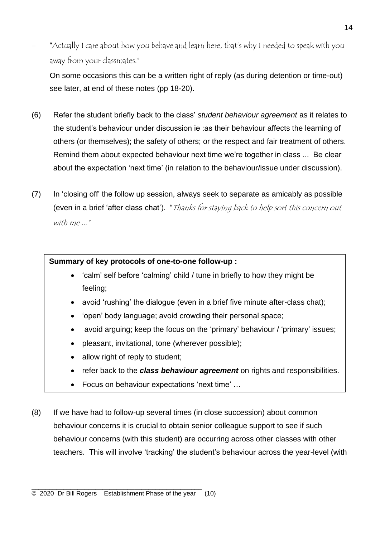− "Actually I care about how you behave and learn here, that's why I needed to speak with you away from your classmates."

On some occasions this can be a written right of reply (as during detention or time-out) see later, at end of these notes (pp 18-20).

- (6) Refer the student briefly back to the class' *student behaviour agreement* as it relates to the student's behaviour under discussion ie :as their behaviour affects the learning of others (or themselves); the safety of others; or the respect and fair treatment of others. Remind them about expected behaviour next time we're together in class ... Be clear about the expectation 'next time' (in relation to the behaviour/issue under discussion).
- (7) In 'closing off' the follow up session, always seek to separate as amicably as possible (even in a brief 'after class chat'). "Thanks for staying back to help sort this concern out with me..."

### **Summary of key protocols of one-to-one follow-up :**

- 'calm' self before 'calming' child / tune in briefly to how they might be feeling;
- avoid 'rushing' the dialogue (even in a brief five minute after-class chat);
- 'open' body language; avoid crowding their personal space;
- avoid arguing; keep the focus on the 'primary' behaviour / 'primary' issues;
- pleasant, invitational, tone (wherever possible);
- allow right of reply to student;
- refer back to the *class behaviour agreement* on rights and responsibilities.
- Focus on behaviour expectations 'next time' …
- (8) If we have had to follow-up several times (in close succession) about common behaviour concerns it is crucial to obtain senior colleague support to see if such behaviour concerns (with this student) are occurring across other classes with other teachers. This will involve 'tracking' the student's behaviour across the year-level (with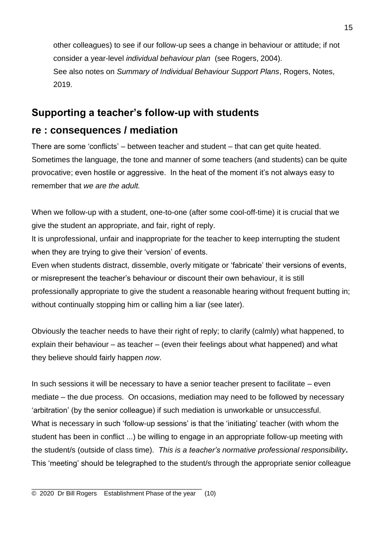other colleagues) to see if our follow-up sees a change in behaviour or attitude; if not consider a year-level *individual behaviour plan* (see Rogers, 2004). See also notes on *Summary of Individual Behaviour Support Plans*, Rogers, Notes, 2019.

# **Supporting a teacher's follow-up with students**

# **re : consequences / mediation**

There are some 'conflicts' – between teacher and student – that can get quite heated. Sometimes the language, the tone and manner of some teachers (and students) can be quite provocative; even hostile or aggressive. In the heat of the moment it's not always easy to remember that *we are the adult.*

When we follow-up with a student, one-to-one (after some cool-off-time) it is crucial that we give the student an appropriate, and fair, right of reply.

It is unprofessional, unfair and inappropriate for the teacher to keep interrupting the student when they are trying to give their 'version' of events.

Even when students distract, dissemble, overly mitigate or 'fabricate' their versions of events, or misrepresent the teacher's behaviour or discount their own behaviour, it is still professionally appropriate to give the student a reasonable hearing without frequent butting in; without continually stopping him or calling him a liar (see later).

Obviously the teacher needs to have their right of reply; to clarify (calmly) what happened, to explain their behaviour – as teacher – (even their feelings about what happened) and what they believe should fairly happen *now*.

In such sessions it will be necessary to have a senior teacher present to facilitate – even mediate – the due process. On occasions, mediation may need to be followed by necessary 'arbitration' (by the senior colleague) if such mediation is unworkable or unsuccessful. What is necessary in such 'follow-up sessions' is that the 'initiating' teacher (with whom the student has been in conflict ...) be willing to engage in an appropriate follow-up meeting with the student/s (outside of class time). *This is a teacher's normative professional responsibility***.**  This 'meeting' should be telegraphed to the student/s through the appropriate senior colleague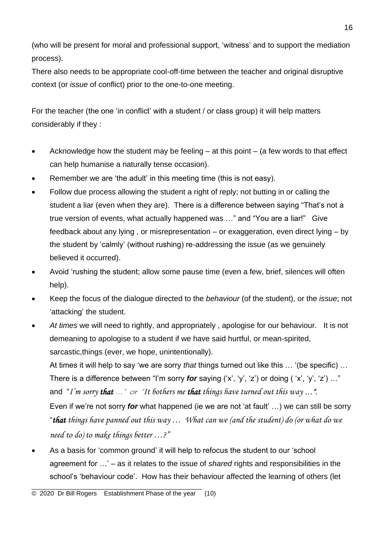(who will be present for moral and professional support, 'witness' and to support the mediation process).

There also needs to be appropriate cool-off-time between the teacher and original disruptive context (or *issue* of conflict) prior to the one-to-one meeting.

For the teacher (the one 'in conflict' with a student / or class group) it will help matters considerably if they :

- Acknowledge how the student may be feeling  $-$  at this point  $-$  (a few words to that effect can help humanise a naturally tense occasion).
- Remember we are 'the adult' in this meeting time (this is not easy).
- Follow due process allowing the student a right of reply; not butting in or calling the student a liar (even when they are). There is a difference between saying "That's not a true version of events, what actually happened was …" and "You are a liar!" Give feedback about any lying , or misrepresentation – or exaggeration, even direct lying – by the student by 'calmly' (without rushing) re-addressing the issue (as we genuinely believed it occurred).
- Avoid 'rushing the student; allow some pause time (even a few, brief, silences will often help).
- Keep the focus of the dialogue directed to the *behaviour* (of the student), or the *issue*; not 'attacking' the student.
- *At times* we will need to rightly, and appropriately , apologise for our behaviour.It is not demeaning to apologise to a student if we have said hurtful, or mean-spirited, sarcastic,things (ever, we hope, unintentionally).

At times it will help to say 'we are sorry *that* things turned out like this … '(be specific) … There is a difference between "I'm sorry *for* saying ('x', 'y', 'z') or doing ( 'x', 'y', 'z') …" and "*I'm sorry that* …" or "*It bothers me that things have turned out this way* …". Even if we're not sorry *for* what happened (ie we are not 'at fault' …) we can still be sorry "*that things have panned out this way … What can we (and the student) do (or what do we need to do) to make things better …?"*

• As a basis for 'common ground' it will help to refocus the student to our 'school agreement for …' – as it relates to the issue of *shared* rights and responsibilities in the school's 'behaviour code'. How has their behaviour affected the learning of others (let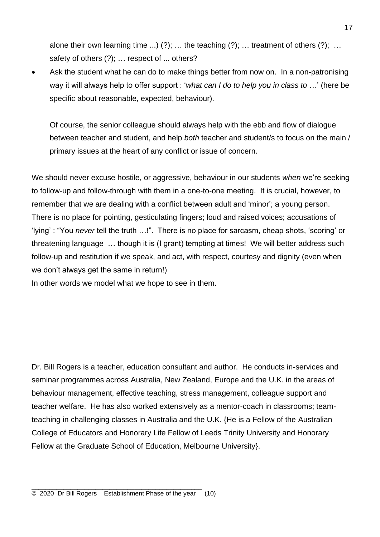alone their own learning time ...) (?); ... the teaching (?); ... treatment of others (?); ... safety of others (?); ... respect of ... others?

Ask the student what he can do to make things better from now on. In a non-patronising way it will always help to offer support : '*what can I do to help you in class to* …' (here be specific about reasonable, expected, behaviour).

Of course, the senior colleague should always help with the ebb and flow of dialogue between teacher and student, and help *both* teacher and student/s to focus on the main / primary issues at the heart of any conflict or issue of concern.

We should never excuse hostile, or aggressive, behaviour in our students *when* we're seeking to follow-up and follow-through with them in a one-to-one meeting. It is crucial, however, to remember that we are dealing with a conflict between adult and 'minor'; a young person. There is no place for pointing, gesticulating fingers; loud and raised voices; accusations of 'lying' : "You *never* tell the truth …!". There is no place for sarcasm, cheap shots, 'scoring' or threatening language … though it is (I grant) tempting at times! We will better address such follow-up and restitution if we speak, and act, with respect, courtesy and dignity (even when we don't always get the same in return!)

In other words we model what we hope to see in them.

Dr. Bill Rogers is a teacher, education consultant and author. He conducts in-services and seminar programmes across Australia, New Zealand, Europe and the U.K. in the areas of behaviour management, effective teaching, stress management, colleague support and teacher welfare. He has also worked extensively as a mentor-coach in classrooms; teamteaching in challenging classes in Australia and the U.K. {He is a Fellow of the Australian College of Educators and Honorary Life Fellow of Leeds Trinity University and Honorary Fellow at the Graduate School of Education, Melbourne University}.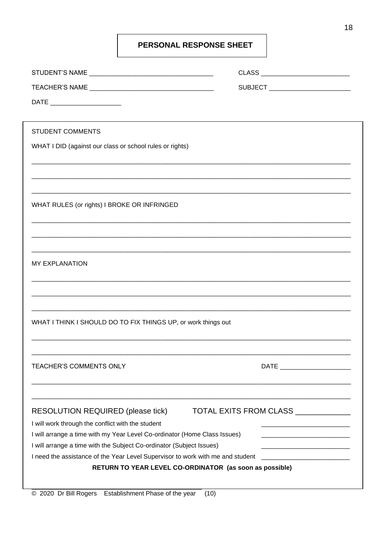### PERSONAL RESPONSE SHEET

|                                                                                               | CLASS _____________________________ |
|-----------------------------------------------------------------------------------------------|-------------------------------------|
|                                                                                               | SUBJECT ________________________    |
|                                                                                               |                                     |
|                                                                                               |                                     |
| <b>STUDENT COMMENTS</b>                                                                       |                                     |
| WHAT I DID (against our class or school rules or rights)                                      |                                     |
|                                                                                               |                                     |
|                                                                                               |                                     |
|                                                                                               |                                     |
| WHAT RULES (or rights) I BROKE OR INFRINGED                                                   |                                     |
|                                                                                               |                                     |
|                                                                                               |                                     |
|                                                                                               |                                     |
| <b>MY EXPLANATION</b>                                                                         |                                     |
|                                                                                               |                                     |
|                                                                                               |                                     |
|                                                                                               |                                     |
| WHAT I THINK I SHOULD DO TO FIX THINGS UP, or work things out                                 |                                     |
|                                                                                               |                                     |
|                                                                                               |                                     |
| TEACHER'S COMMENTS ONLY                                                                       | DATE ________________________       |
|                                                                                               |                                     |
|                                                                                               |                                     |
|                                                                                               | TOTAL EXITS FROM CLASS ____________ |
| <b>RESOLUTION REQUIRED (please tick)</b><br>I will work through the conflict with the student |                                     |
| I will arrange a time with my Year Level Co-ordinator (Home Class Issues)                     |                                     |
| I will arrange a time with the Subject Co-ordinator (Subject Issues)                          |                                     |
| I need the assistance of the Year Level Supervisor to work with me and student                |                                     |
| RETURN TO YEAR LEVEL CO-ORDINATOR (as soon as possible)                                       |                                     |
|                                                                                               |                                     |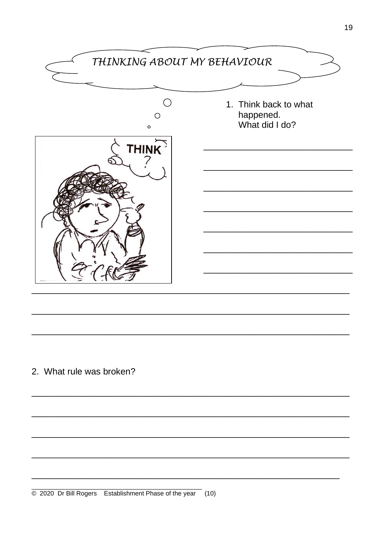

2. What rule was broken?